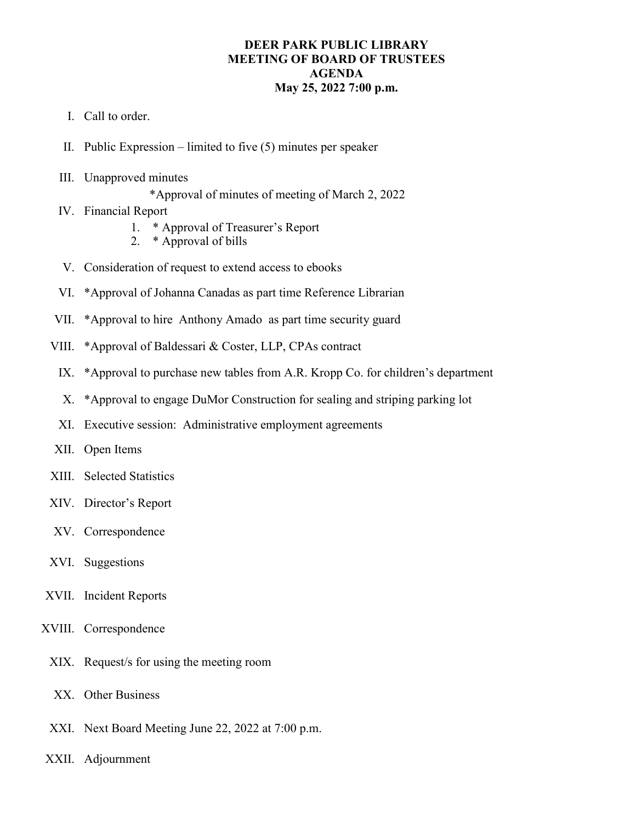## **DEER PARK PUBLIC LIBRARY MEETING OF BOARD OF TRUSTEES AGENDA May 25, 2022 7:00 p.m.**

- I. Call to order.
- II. Public Expression limited to five (5) minutes per speaker
- III. Unapproved minutes

\*Approval of minutes of meeting of March 2, 2022

- IV. Financial Report
	- 1. \* Approval of Treasurer's Report
	- 2. \* Approval of bills
- V. Consideration of request to extend access to ebooks
- VI. \*Approval of Johanna Canadas as part time Reference Librarian
- VII. \*Approval to hire Anthony Amado as part time security guard
- VIII. \*Approval of Baldessari & Coster, LLP, CPAs contract
	- IX. \*Approval to purchase new tables from A.R. Kropp Co. for children's department
	- X. \*Approval to engage DuMor Construction for sealing and striping parking lot
- XI. Executive session: Administrative employment agreements
- XII. Open Items
- XIII. Selected Statistics
- XIV. Director's Report
- XV. Correspondence
- XVI. Suggestions
- XVII. Incident Reports
- XVIII. Correspondence
	- XIX. Request/s for using the meeting room
	- XX. Other Business
	- XXI. Next Board Meeting June 22, 2022 at 7:00 p.m.
- XXII. Adjournment